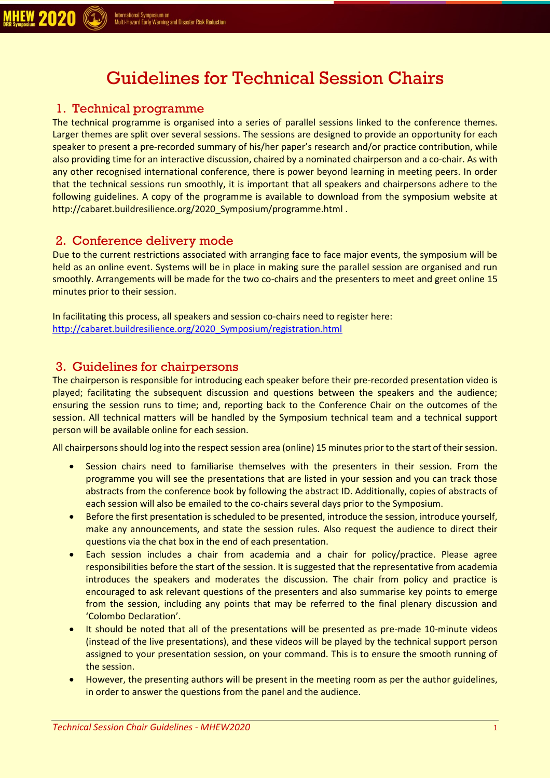# Guidelines for Technical Session Chairs

#### 1. Technical programme

**MHEW 2020** 

The technical programme is organised into a series of parallel sessions linked to the conference themes. Larger themes are split over several sessions. The sessions are designed to provide an opportunity for each speaker to present a pre-recorded summary of his/her paper's research and/or practice contribution, while also providing time for an interactive discussion, chaired by a nominated chairperson and a co-chair. As with any other recognised international conference, there is power beyond learning in meeting peers. In order that the technical sessions run smoothly, it is important that all speakers and chairpersons adhere to the following guidelines. A copy of the programme is available to download from the symposium website at http://cabaret.buildresilience.org/2020 Symposium/programme.html.

#### 2. Conference delivery mode

Due to the current restrictions associated with arranging face to face major events, the symposium will be held as an online event. Systems will be in place in making sure the parallel session are organised and run smoothly. Arrangements will be made for the two co-chairs and the presenters to meet and greet online 15 minutes prior to their session.

In facilitating this process, all speakers and session co-chairs need to register here: [http://cabaret.buildresilience.org/2020\\_Symposium/registration.html](http://cabaret.buildresilience.org/2020_Symposium/registration.html)

#### 3. Guidelines for chairpersons

The chairperson is responsible for introducing each speaker before their pre-recorded presentation video is played; facilitating the subsequent discussion and questions between the speakers and the audience; ensuring the session runs to time; and, reporting back to the Conference Chair on the outcomes of the session. All technical matters will be handled by the Symposium technical team and a technical support person will be available online for each session.

All chairpersons should log into the respect session area (online) 15 minutes prior to the start of their session.

- Session chairs need to familiarise themselves with the presenters in their session. From the programme you will see the presentations that are listed in your session and you can track those abstracts from the conference book by following the abstract ID. Additionally, copies of abstracts of each session will also be emailed to the co-chairs several days prior to the Symposium.
- Before the first presentation is scheduled to be presented, introduce the session, introduce yourself, make any announcements, and state the session rules. Also request the audience to direct their questions via the chat box in the end of each presentation.
- Each session includes a chair from academia and a chair for policy/practice. Please agree responsibilities before the start of the session. It is suggested that the representative from academia introduces the speakers and moderates the discussion. The chair from policy and practice is encouraged to ask relevant questions of the presenters and also summarise key points to emerge from the session, including any points that may be referred to the final plenary discussion and 'Colombo Declaration'.
- It should be noted that all of the presentations will be presented as pre-made 10-minute videos (instead of the live presentations), and these videos will be played by the technical support person assigned to your presentation session, on your command. This is to ensure the smooth running of the session.
- However, the presenting authors will be present in the meeting room as per the author guidelines, in order to answer the questions from the panel and the audience.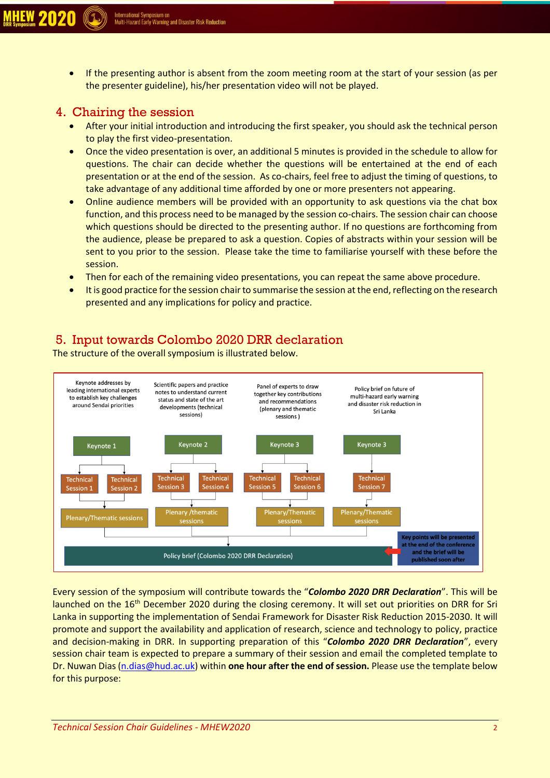• If the presenting author is absent from the zoom meeting room at the start of your session (as per the presenter guideline), his/her presentation video will not be played.

#### 4. Chairing the session

- After your initial introduction and introducing the first speaker, you should ask the technical person to play the first video-presentation.
- Once the video presentation is over, an additional 5 minutes is provided in the schedule to allow for questions. The chair can decide whether the questions will be entertained at the end of each presentation or at the end of the session. As co-chairs, feel free to adjust the timing of questions, to take advantage of any additional time afforded by one or more presenters not appearing.
- Online audience members will be provided with an opportunity to ask questions via the chat box function, and this process need to be managed by the session co-chairs. The session chair can choose which questions should be directed to the presenting author. If no questions are forthcoming from the audience, please be prepared to ask a question. Copies of abstracts within your session will be sent to you prior to the session. Please take the time to familiarise yourself with these before the session.
- Then for each of the remaining video presentations, you can repeat the same above procedure.
- It is good practice for the session chair to summarise the session at the end, reflecting on the research presented and any implications for policy and practice.

### 5. Input towards Colombo 2020 DRR declaration

The structure of the overall symposium is illustrated below.



Every session of the symposium will contribute towards the "*Colombo 2020 DRR Declaration*". This will be launched on the 16<sup>th</sup> December 2020 during the closing ceremony. It will set out priorities on DRR for Sri Lanka in supporting the implementation of Sendai Framework for Disaster Risk Reduction 2015-2030. It will promote and support the availability and application of research, science and technology to policy, practice and decision-making in DRR. In supporting preparation of this "*Colombo 2020 DRR Declaration*", every session chair team is expected to prepare a summary of their session and email the completed template to Dr. Nuwan Dias [\(n.dias@hud.ac.uk\)](mailto:n.dias@hud.ac.uk) within **one hour after the end of session.** Please use the template below for this purpose: